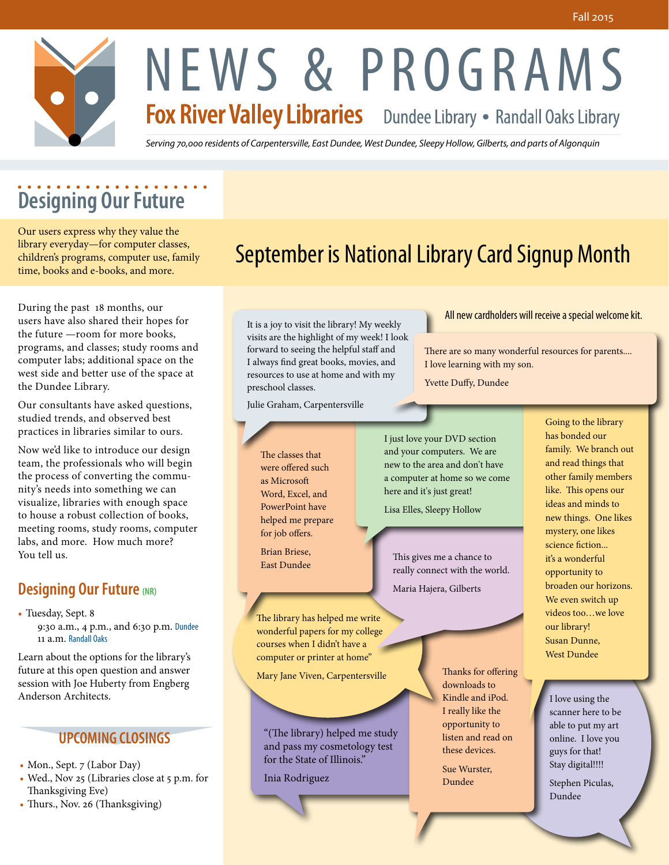

# **Designing Our Future**

Our users express why they value the library everyday—for computer classes, children's programs, computer use, family time, books and e-books, and more.

During the past 18 months, our users have also shared their hopes for the future —room for more books, programs, and classes; study rooms and computer labs; additional space on the west side and better use of the space at the Dundee Library.

Our consultants have asked questions, studied trends, and observed best practices in libraries similar to ours.

Now we'd like to introduce our design team, the professionals who will begin the process of converting the community's needs into something we can visualize, libraries with enough space to house a robust collection of books, meeting rooms, study rooms, computer labs, and more. How much more? You tell us.

## **Designing Our Future (NR)**

• Tuesday, Sept. 8

9:30 a.m., 4 p.m., and 6:30 p.m. Dundee 11 a.m. Randall Oaks

Learn about the options for the library's future at this open question and answer session with Joe Huberty from Engberg Anderson Architects.

### **UPCOMING CLOSINGS**

• Mon., Sept. 7 (Labor Day)

- Wed., Nov 25 (Libraries close at 5 p.m. for Thanksgiving Eve)
- Thurs., Nov. 26 (Thanksgiving)

## September is National Library Card Signup Month

It is a joy to visit the library! My weekly visits are the highlight of my week! I look forward to seeing the helpful staff and I always find great books, movies, and resources to use at home and with my preschool classes.

Julie Graham, Carpentersville

ľ

The classes that were offered such as Microsoft Word, Excel, and PowerPoint have helped me prepare for job offers.

Brian Briese, East Dundee I just love your DVD section and your computers. We are new to the area and don't have a computer at home so we come here and it's just great!

I love learning with my son. Yvette Duffy, Dundee

Lisa Elles, Sleepy Hollow

This gives me a chance to really connect with the world. Maria Hajera, Gilberts

The library has helped me write wonderful papers for my college courses when I didn't have a computer or printer at home"

Mary Jane Viven, Carpentersville

"(The library) helped me study and pass my cosmetology test for the State of Illinois."

Inia Rodriguez

Thanks for offering downloads to Kindle and iPod. I really like the opportunity to listen and read on these devices.

Sue Wurster, Dundee

Going to the library has bonded our family. We branch out and read things that other family members like. This opens our ideas and minds to new things. One likes mystery, one likes science fiction... it's a wonderful opportunity to broaden our horizons. We even switch up videos too…we love our library! Susan Dunne, West Dundee

There are so many wonderful resources for parents....

All new cardholders will receive a special welcome kit.

I love using the scanner here to be able to put my art online. I love you guys for that! Stay digital!!!!

Stephen Piculas, Dundee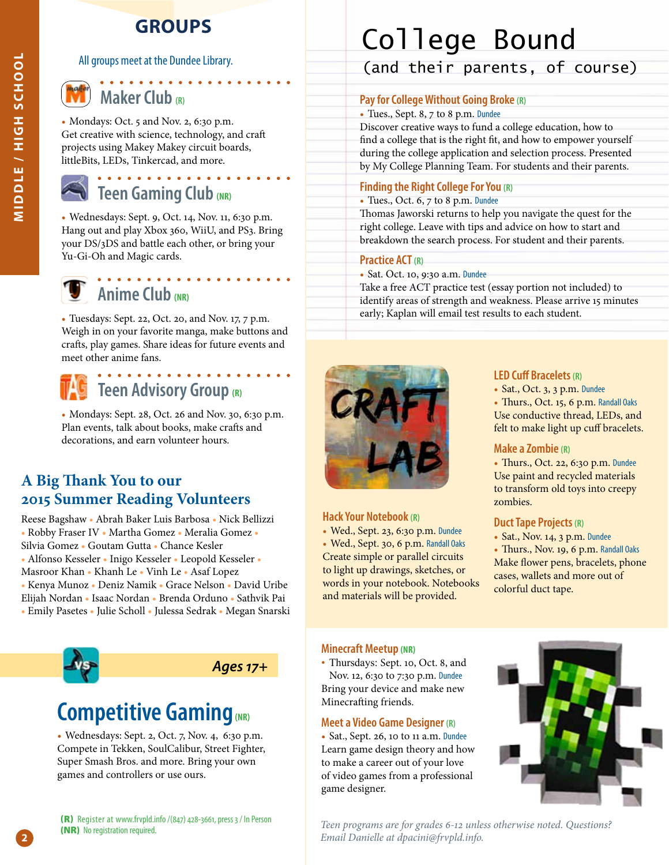## **GROUPS**

#### All groups meet at the Dundee Library.



## **Maker Club (R)**

• Mondays: Oct. 5 and Nov. 2, 6:30 p.m. Get creative with science, technology, and craft projects using Makey Makey circuit boards, littleBits, LEDs, Tinkercad, and more.

# **Teen Gaming Club (NR)**

• Wednesdays: Sept. 9, Oct. 14, Nov. 11, 6:30 p.m. Hang out and play Xbox 360, WiiU, and PS3. Bring your DS/3DS and battle each other, or bring your Yu-Gi-Oh and Magic cards.

 $\mathbf{A} \times \mathbf{A} \times \mathbf{A} \times \mathbf{A} \times \mathbf{A}$ 

## **Anime Club (NR)**

• Tuesdays: Sept. 22, Oct. 20, and Nov. 17, 7 p.m. Weigh in on your favorite manga, make buttons and crafts, play games. Share ideas for future events and meet other anime fans.

### . . . . . . . . . . . . . . . . . . . **Teen Advisory Group (R)**

• Mondays: Sept. 28, Oct. 26 and Nov. 30, 6:30 p.m. Plan events, talk about books, make crafts and decorations, and earn volunteer hours.

## **A Big Thank You to our 2015 Summer Reading Volunteers**

Reese Bagshaw • Abrah Baker Luis Barbosa • Nick Bellizzi • Robby Fraser IV • Martha Gomez • Meralia Gomez • Silvia Gomez • Goutam Gutta • Chance Kesler • Alfonso Kesseler • Inigo Kesseler • Leopold Kesseler •

Masroor Khan • Khanh Le • Vinh Le • Asaf Lopez

• Kenya Munoz • Deniz Namik • Grace Nelson • David Uribe Elijah Nordan • Isaac Nordan • Brenda Orduno • Sathvik Pai • Emily Pasetes • Julie Scholl • Julessa Sedrak • Megan Snarski



## *Ages 17+*

## **Competitive Gaming(NR)**

• Wednesdays: Sept. 2, Oct. 7, Nov. 4, 6:30 p.m. Compete in Tekken, SoulCalibur, Street Fighter, Super Smash Bros. and more. Bring your own games and controllers or use ours.

# College Bound

(and their parents, of course)

#### **Pay for College Without Going Broke (R)**

• Tues., Sept. 8, 7 to 8 p.m. Dundee

Discover creative ways to fund a college education, how to find a college that is the right fit, and how to empower yourself during the college application and selection process. Presented by My College Planning Team. For students and their parents.

#### **Finding the Right College For You (R)**

#### • Tues., Oct. 6, 7 to 8 p.m. Dundee

Thomas Jaworski returns to help you navigate the quest for the right college. Leave with tips and advice on how to start and breakdown the search process. For student and their parents.

#### **Practice ACT (R)**

• Sat. Oct. 10, 9:30 a.m. Dundee

Take a free ACT practice test (essay portion not included) to identify areas of strength and weakness. Please arrive 15 minutes early; Kaplan will email test results to each student.



#### **Hack Your Notebook (R)**

• Wed., Sept. 23, 6:30 p.m. Dundee • Wed., Sept. 30, 6 p.m. Randall Oaks Create simple or parallel circuits to light up drawings, sketches, or words in your notebook. Notebooks and materials will be provided.

#### **LED Cuff Bracelets (R)**

• Sat., Oct. 3, 3 p.m. Dundee • Thurs., Oct. 15, 6 p.m. Randall Oaks Use conductive thread, LEDs, and felt to make light up cuff bracelets.

#### **Make a Zombie (R)**

• Thurs., Oct. 22, 6:30 p.m. Dundee Use paint and recycled materials to transform old toys into creepy zombies.

#### **Duct Tape Projects (R)**

• Sat., Nov. 14, 3 p.m. Dundee

• Thurs., Nov. 19, 6 p.m. Randall Oaks Make flower pens, bracelets, phone cases, wallets and more out of colorful duct tape.

#### **Minecraft Meetup (NR)**

• Thursdays: Sept. 10, Oct. 8, and Nov. 12, 6:30 to 7:30 p.m. Dundee Bring your device and make new Minecrafting friends.

#### **Meet a Video Game Designer (R)**

• Sat., Sept. 26, 10 to 11 a.m. Dundee Learn game design theory and how to make a career out of your love of video games from a professional game designer.



*Teen programs are for grades 6-12 unless otherwise noted. Questions? Email Danielle at dpacini@frvpld.info.* 

**2**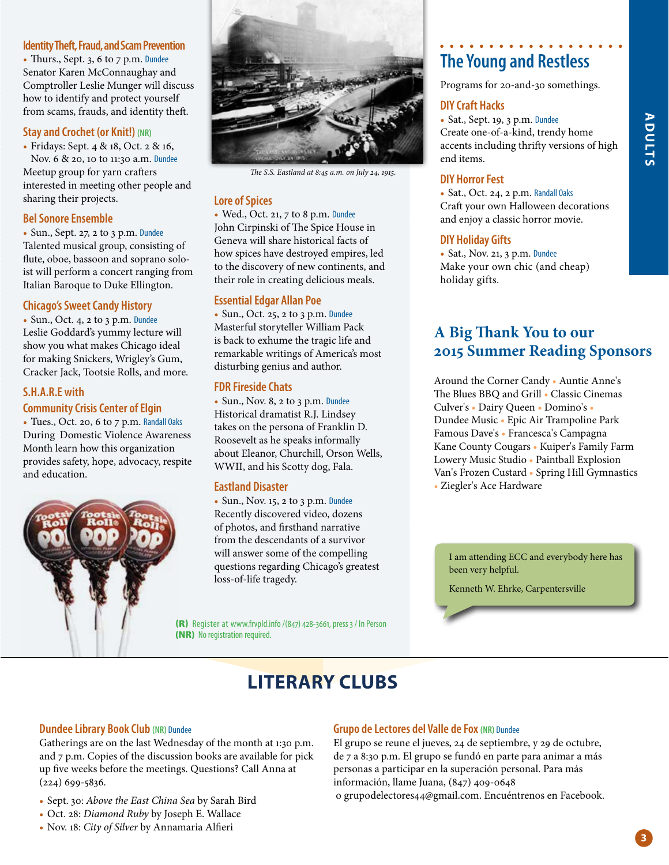#### **Identity Theft, Fraud, and Scam Prevention**

• Thurs., Sept. 3, 6 to 7 p.m. Dundee Senator Karen McConnaughay and Comptroller Leslie Munger will discuss how to identify and protect yourself from scams, frauds, and identity theft.

#### **Stay and Crochet (or Knit!) (NR)**

• Fridays: Sept. 4 & 18, Oct. 2 & 16, Nov. 6 & 20, 10 to 11:30 a.m. Dundee Meetup group for yarn crafters interested in meeting other people and sharing their projects.

#### **Bel Sonore Ensemble**

• Sun., Sept. 27, 2 to 3 p.m. Dundee Talented musical group, consisting of flute, oboe, bassoon and soprano soloist will perform a concert ranging from Italian Baroque to Duke Ellington.

#### **Chicago's Sweet Candy History**

• Sun., Oct. 4, 2 to 3 p.m. Dundee Leslie Goddard's yummy lecture will show you what makes Chicago ideal for making Snickers, Wrigley's Gum, Cracker Jack, Tootsie Rolls, and more.

#### **S.H.A.R.E with Community Crisis Center of Elgin**

• Tues., Oct. 20, 6 to 7 p.m. Randall Oaks During Domestic Violence Awareness Month learn how this organization provides safety, hope, advocacy, respite and education.





*The S.S. Eastland at 8:45 a.m. on July 24, 1915.*

#### **Lore of Spices**

• Wed., Oct. 21, 7 to 8 p.m. Dundee John Cirpinski of The Spice House in Geneva will share historical facts of how spices have destroyed empires, led to the discovery of new continents, and their role in creating delicious meals.

#### **Essential Edgar Allan Poe**

• Sun., Oct. 25, 2 to 3 p.m. Dundee Masterful storyteller William Pack is back to exhume the tragic life and remarkable writings of America's most disturbing genius and author.

#### **FDR Fireside Chats**

• Sun., Nov. 8, 2 to 3 p.m. Dundee Historical dramatist R.J. Lindsey takes on the persona of Franklin D. Roosevelt as he speaks informally about Eleanor, Churchill, Orson Wells, WWII, and his Scotty dog, Fala.

#### **Eastland Disaster**

• Sun., Nov. 15, 2 to 3 p.m. Dundee Recently discovered video, dozens of photos, and firsthand narrative from the descendants of a survivor will answer some of the compelling questions regarding Chicago's greatest loss-of-life tragedy.

(R) Register at www.frvpld.info /(847) 428-3661, press 3 / In Person (NR) No registration required.

## **The Young and Restless**

Programs for 20-and-30 somethings.

#### **DIY Craft Hacks**

• Sat., Sept. 19, 3 p.m. Dundee Create one-of-a-kind, trendy home accents including thrifty versions of high end items.

#### **DIY Horror Fest**

• Sat., Oct. 24, 2 p.m. Randall Oaks Craft your own Halloween decorations and enjoy a classic horror movie.

#### **DIY Holiday Gifts**

• Sat., Nov. 21, 3 p.m. Dundee Make your own chic (and cheap) holiday gifts.

## **A Big Thank You to our 2015 Summer Reading Sponsors**

Around the Corner Candy • Auntie Anne's The Blues BBQ and Grill • Classic Cinemas Culver's • Dairy Queen • Domino's • Dundee Music • Epic Air Trampoline Park Famous Dave's • Francesca's Campagna Kane County Cougars • Kuiper's Family Farm Lowery Music Studio • Paintball Explosion Van's Frozen Custard • Spring Hill Gymnastics • Ziegler's Ace Hardware

I am attending ECC and everybody here has been very helpful.

Kenneth W. Ehrke, Carpentersville

## **LITERARY CLUBS**

#### **Dundee Library Book Club (NR)** Dundee

Gatherings are on the last Wednesday of the month at 1:30 p.m. and 7 p.m. Copies of the discussion books are available for pick up five weeks before the meetings. Questions? Call Anna at (224) 699-5836.

- Sept. 30: *Above the East China Sea* by Sarah Bird
- Oct. 28: *Diamond Ruby* by Joseph E. Wallace
- Nov. 18: *City of Silver* by Annamaria Alfieri

#### **Grupo de Lectores del Valle de Fox (NR)** Dundee

El grupo se reune el jueves, 24 de septiembre, y 29 de octubre, de 7 a 8:30 p.m. El grupo se fundó en parte para animar a más personas a participar en la superación personal. Para más información, llame Juana, (847) 409-0648 o grupodelectores44@gmail.com. Encuéntrenos en Facebook.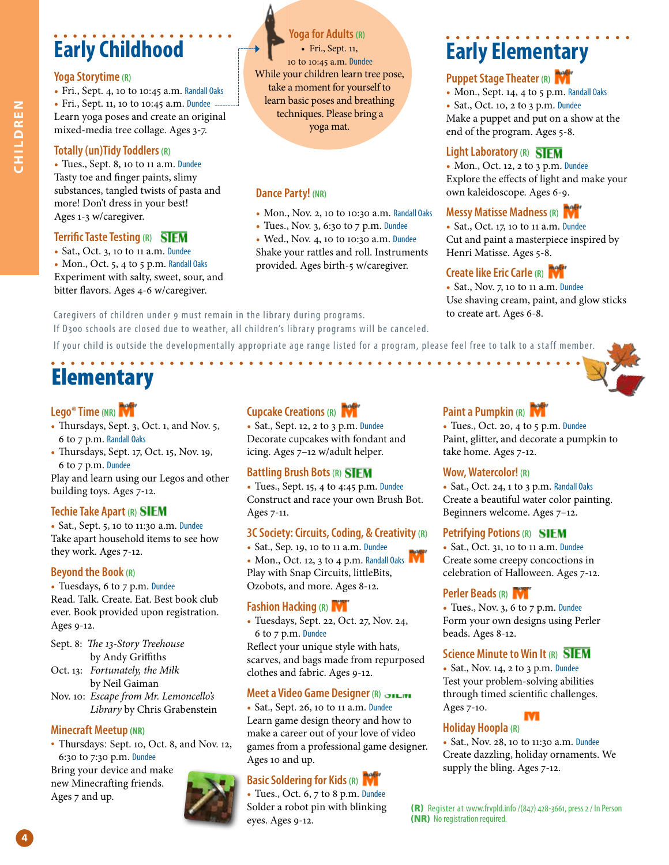# **Early Childhood**

#### **Yoga Storytime (R)**

• Fri., Sept. 4, 10 to 10:45 a.m. Randall Oaks • Fri., Sept. 11, 10 to 10:45 a.m. Dundee ... Learn yoga poses and create an original mixed-media tree collage. Ages 3-7.

#### **Totally (un)Tidy Toddlers (R)**

• Tues., Sept. 8, 10 to 11 a.m. Dundee Tasty toe and finger paints, slimy substances, tangled twists of pasta and more! Don't dress in your best! Ages 1-3 w/caregiver.

#### **Terrific Taste Testing (R)**

• Sat., Oct. 3, 10 to 11 a.m. Dundee • Mon., Oct. 5, 4 to 5 p.m. Randall Oaks Experiment with salty, sweet, sour, and bitter flavors. Ages 4-6 w/caregiver.

**Yoga for Adults (R)** • Fri., Sept. 11, 10 to 10:45 a.m. Dundee While your children learn tree pose, take a moment for yourself to learn basic poses and breathing techniques. Please bring a yoga mat.

#### **Dance Party! (NR)**

- 
- Mon., Nov. 2, 10 to 10:30 a.m. Randall Oaks • Tues., Nov. 3, 6:30 to 7 p.m. Dundee
- Wed., Nov. 4, 10 to 10:30 a.m. Dundee Shake your rattles and roll. Instruments provided. Ages birth-5 w/caregiver.

Caregivers of children under 9 must remain in the library during programs. If D300 schools are closed due to weather, all children's library programs will be canceled.

If your child is outside the developmentally appropriate age range listed for a program, please feel free to talk to a staff member.

# Elementary

#### **Lego® Time (NR)**

- Thursdays, Sept. 3, Oct. 1, and Nov. 5, 6 to 7 p.m. Randall Oaks
- Thursdays, Sept. 17, Oct. 15, Nov. 19, 6 to 7 p.m. Dundee

Play and learn using our Legos and other building toys. Ages 7-12.

#### **Techie Take Apart (R)**

• Sat., Sept. 5, 10 to 11:30 a.m. Dundee Take apart household items to see how they work. Ages 7-12.

#### **Beyond the Book (R)**

• Tuesdays, 6 to 7 p.m. Dundee Read. Talk. Create. Eat. Best book club ever. Book provided upon registration. Ages 9-12.

- Sept. 8: *The 13-Story Treehouse* by Andy Griffiths
- Oct. 13: *Fortunately, the Milk* by Neil Gaiman
- Nov. 10: *Escape from Mr. Lemoncello's Library* by Chris Grabenstein

#### **Minecraft Meetup (NR)**

• Thursdays: Sept. 10, Oct. 8, and Nov. 12, 6:30 to 7:30 p.m. Dundee

Bring your device and make new Minecrafting friends. Ages 7 and up.



. . . . . . . . . . . .

• Sat., Sept. 12, 2 to 3 p.m. Dundee Decorate cupcakes with fondant and icing. Ages 7–12 w/adult helper.

#### **Battling Brush Bots (R)**

• Tues., Sept. 15, 4 to 4:45 p.m. Dundee Construct and race your own Brush Bot. Ages 7-11.

#### **3C Society: Circuits, Coding, & Creativity (R)**

• Sat., Sep. 19, 10 to 11 a.m. Dundee • Mon., Oct. 12, 3 to 4 p.m. Randall Oaks Play with Snap Circuits, littleBits, Ozobots, and more. Ages 8-12.

#### **Fashion Hacking (R)**

• Tuesdays, Sept. 22, Oct. 27, Nov. 24, 6 to 7 p.m. Dundee

Reflect your unique style with hats, scarves, and bags made from repurposed clothes and fabric. Ages 9-12.

#### **Meet a Video Game Designer (R)**

• Sat., Sept. 26, 10 to 11 a.m. Dundee Learn game design theory and how to make a career out of your love of video games from a professional game designer. Ages 10 and up.

#### **Basic Soldering for Kids (R)**

• Tues., Oct. 6, 7 to 8 p.m. Dundee Solder a robot pin with blinking eyes. Ages 9-12.

# **Early Elementary**

#### **Puppet Stage Theater (R)**

• Mon., Sept. 14, 4 to 5 p.m. Randall Oaks • Sat., Oct. 10, 2 to 3 p.m. Dundee Make a puppet and put on a show at the end of the program. Ages 5-8.

#### **Light Laboratory (R) SIFM**

• Mon., Oct. 12, 2 to 3 p.m. Dundee Explore the effects of light and make your own kaleidoscope. Ages 6-9.

#### **Messy Matisse Madness (R)**

• Sat., Oct. 17, 10 to 11 a.m. Dundee Cut and paint a masterpiece inspired by Henri Matisse. Ages 5-8.

### **Create like Eric Carle (R)**

• Sat., Nov. 7, 10 to 11 a.m. Dundee Use shaving cream, paint, and glow sticks to create art. Ages 6-8.



#### **Paint a Pumpkin (R)**

• Tues., Oct. 20, 4 to 5 p.m. Dundee Paint, glitter, and decorate a pumpkin to take home. Ages 7-12.

#### **Wow, Watercolor! (R)**

• Sat., Oct. 24, 1 to 3 p.m. Randall Oaks Create a beautiful water color painting. Beginners welcome. Ages 7–12.

#### **Petrifying Potions (R)**

• Sat., Oct. 31, 10 to 11 a.m. Dundee Create some creepy concoctions in celebration of Halloween. Ages 7-12.

#### **Perler Beads (R)**

• Tues., Nov. 3, 6 to 7 p.m. Dundee Form your own designs using Perler beads. Ages 8-12.

#### **Science Minute to Win It (R)**

• Sat., Nov. 14, 2 to 3 p.m. Dundee Test your problem-solving abilities through timed scientific challenges. Ages 7-10.



#### **Holiday Hoopla (R)**

• Sat., Nov. 28, 10 to 11:30 a.m. Dundee Create dazzling, holiday ornaments. We supply the bling. Ages 7-12.

(R) Register at www.frvpld.info /(847) 428-3661, press 2 / In Person (NR) No registration required.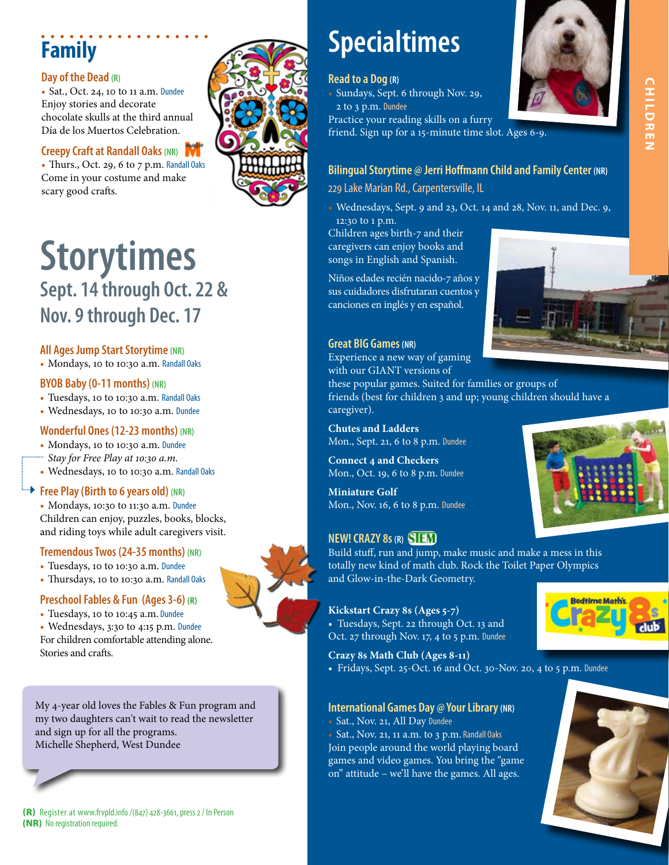# **Family**

#### **Day of the Dead (R)**

• Sat., Oct. 24, 10 to 11 a.m. Dundee Enjoy stories and decorate chocolate skulls at the third annual Día de los Muertos Celebration.

#### **Creepy Craft at Randall Oaks (NR)**

• Thurs., Oct. 29, 6 to 7 p.m. Randall Oaks Come in your costume and make scary good crafts.



## **Storytimes Sept. 14 through Oct. 22 & Nov. 9 through Dec. 17**

#### **All Ages Jump Start Storytime (NR)**

• Mondays, 10 to 10:30 a.m. Randall Oaks

#### **BYOB Baby (0-11 months) (NR)**

- Tuesdays, 10 to 10:30 a.m. Randall Oaks
- Wednesdays, 10 to 10:30 a.m. Dundee

#### **Wonderful Ones (12-23 months) (NR)**

- Mondays, 10 to 10:30 a.m. Dundee
- *Stay for Free Play at 10:30 a.m.*
- Wednesdays, 10 to 10:30 a.m. Randall Oaks

#### **Free Play (Birth to 6 years old) (NR)**

• Mondays, 10:30 to 11:30 a.m. Dundee Children can enjoy, puzzles, books, blocks, and riding toys while adult caregivers visit.

#### **Tremendous Twos (24-35 months) (NR)**

- Tuesdays, 10 to 10:30 a.m. Dundee
- Thursdays, 10 to 10:30 a.m. Randall Oaks

#### **Preschool Fables & Fun (Ages 3-6) (R)**

• Tuesdays, 10 to 10:45 a.m. Dundee

• Wednesdays, 3:30 to 4:15 p.m. Dundee For children comfortable attending alone. Stories and crafts.

My 4-year old loves the Fables & Fun program and my two daughters can't wait to read the newsletter and sign up for all the programs. Michelle Shepherd, West Dundee

#### (R) Register at www.frvpld.info /(847) 428-3661, press 2 / In Person (NR) No registration required.

# **Specialtimes**

#### **Read to a Dog (R)**

• Sundays, Sept. 6 through Nov. 29, 2 to 3 p.m. Dundee



#### **Bilingual Storytime @ Jerri Hoffmann Child and Family Center (NR)**

#### 229 Lake Marian Rd., Carpentersville, IL

• Wednesdays, Sept. 9 and 23, Oct. 14 and 28, Nov. 11, and Dec. 9, 12:30 to 1 p.m.

Children ages birth-7 and their caregivers can enjoy books and songs in English and Spanish.

Niños edades recién nacido-7 años y sus cuidadores disfrutaran cuentos y canciones en inglés y en español.

#### **Great BIG Games (NR)**

Experience a new way of gaming with our GIANT versions of these popular games. Suited for families or groups of friends (best for children 3 and up; young children should have a caregiver).

**Chutes and Ladders** Mon., Sept. 21, 6 to 8 p.m. Dundee

**Connect 4 and Checkers** Mon., Oct. 19, 6 to 8 p.m. Dundee

**Miniature Golf** Mon., Nov. 16, 6 to 8 p.m. Dundee

#### **NEW! CRAZY 8s (R)**

Build stuff, run and jump, make music and make a mess in this totally new kind of math club. Rock the Toilet Paper Olympics and Glow-in-the-Dark Geometry.

#### **Kickstart Crazy 8s (Ages 5-7)**

• Tuesdays, Sept. 22 through Oct. 13 and Oct. 27 through Nov. 17, 4 to 5 p.m. Dundee

#### **Crazy 8s Math Club (Ages 8-11)**

• Fridays, Sept. 25-Oct. 16 and Oct. 30-Nov. 20, 4 to 5 p.m. Dundee

#### **International Games Day @ Your Library(NR)**

• Sat., Nov. 21, All Day Dundee

• Sat., Nov. 21, 11 a.m. to 3 p.m. Randall Oaks Join people around the world playing board games and video games. You bring the "game on" attitude – we'll have the games. All ages.



**CHILDREN**

**CHILDAEN** 









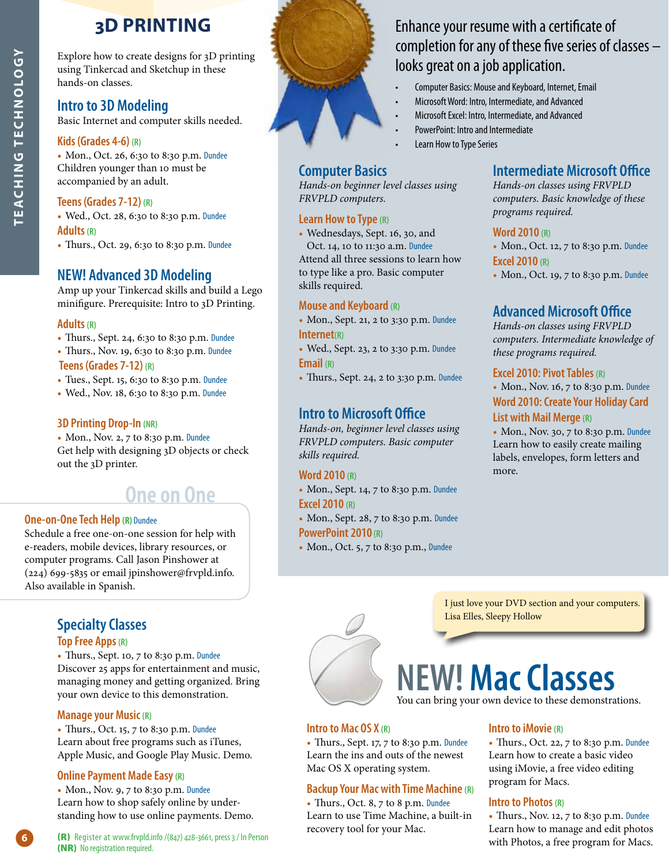## **3D PRINTING**

Explore how to create designs for 3D printing using Tinkercad and Sketchup in these hands-on classes.

## **Intro to 3D Modeling**

Basic Internet and computer skills needed.

#### **Kids (Grades 4-6) (R)**

**TEACHING TECHNOLOGY**

**NOOTONHUMHUNILING** 

• Mon., Oct. 26, 6:30 to 8:30 p.m. Dundee Children younger than 10 must be accompanied by an adult.

#### **Teens (Grades 7-12) (R)**

• Wed., Oct. 28, 6:30 to 8:30 p.m. Dundee **Adults (R)**

• Thurs., Oct. 29, 6:30 to 8:30 p.m. Dundee

## **NEW! Advanced 3D Modeling**

Amp up your Tinkercad skills and build a Lego minifigure. Prerequisite: Intro to 3D Printing.

#### **Adults (R)**

- Thurs., Sept. 24, 6:30 to 8:30 p.m. Dundee
- Thurs., Nov. 19, 6:30 to 8:30 p.m. Dundee

#### **Teens (Grades 7-12) (R)**

- Tues., Sept. 15, 6:30 to 8:30 p.m. Dundee
- Wed., Nov. 18, 6:30 to 8:30 p.m. Dundee

#### **3D Printing Drop-In (NR)**

• Mon., Nov. 2, 7 to 8:30 p.m. Dundee Get help with designing 3D objects or check out the 3D printer.

## **One on One**

#### **One-on-One Tech Help (R)** Dundee

Schedule a free one-on-one session for help with e-readers, mobile devices, library resources, or computer programs. Call Jason Pinshower at (224) 699-5835 or email jpinshower@frvpld.info. Also available in Spanish.

### **Specialty Classes**

#### **Top Free Apps (R)**

• Thurs., Sept. 10, 7 to 8:30 p.m. Dundee Discover 25 apps for entertainment and music, managing money and getting organized. Bring your own device to this demonstration.

#### **Manage your Music (R)**

• Thurs., Oct. 15, 7 to 8:30 p.m. Dundee Learn about free programs such as iTunes, Apple Music, and Google Play Music. Demo.

#### **Online Payment Made Easy (R)**

• Mon., Nov. 9, 7 to 8:30 p.m. Dundee Learn how to shop safely online by understanding how to use online payments. Demo.



**Computer Basics** 

*FRVPLD computers.* **Learn How to Type (R)**

skills required.

**Internet(R)**

**Email (R)**

*skills required.* **Word 2010 (R)**

**Excel 2010 (R)**

**PowerPoint 2010 (R)**

**Mouse and Keyboard (R)**

*Hands-on beginner level classes using* 

• Wednesdays, Sept. 16, 30, and Oct. 14, 10 to 11:30 a.m. Dundee Attend all three sessions to learn how to type like a pro. Basic computer

• Mon., Sept. 21, 2 to 3:30 p.m. Dundee

• Wed., Sept. 23, 2 to 3:30 p.m. Dundee

• Thurs., Sept. 24, 2 to 3:30 p.m. Dundee

*Hands-on, beginner level classes using FRVPLD computers. Basic computer* 

• Mon., Sept. 14, 7 to 8:30 p.m. Dundee

• Mon., Sept. 28, 7 to 8:30 p.m. Dundee

• Mon., Oct. 5, 7 to 8:30 p.m., Dundee

**Intro to Microsoft Office**

## Enhance your resume with a certificate of completion for any of these five series of classes – looks great on a job application.

- Computer Basics: Mouse and Keyboard, Internet, Email
- Microsoft Word: Intro, Intermediate, and Advanced
- Microsoft Excel: Intro, Intermediate, and Advanced
- PowerPoint: Intro and Intermediate
- Learn How to Type Series

### **Intermediate Microsoft Office**

*Hands-on classes using FRVPLD computers. Basic knowledge of these programs required.*

#### **Word 2010 (R)**

• Mon., Oct. 12, 7 to 8:30 p.m. Dundee **Excel 2010 (R)**

• Mon., Oct. 19, 7 to 8:30 p.m. Dundee

## **Advanced Microsoft Office**

*Hands-on classes using FRVPLD computers. Intermediate knowledge of these programs required.*

#### **Excel 2010: Pivot Tables (R)**

• Mon., Nov. 16, 7 to 8:30 p.m. Dundee **Word 2010: Create Your Holiday Card List with Mail Merge (R)**

• Mon., Nov. 30, 7 to 8:30 p.m. Dundee Learn how to easily create mailing labels, envelopes, form letters and more.



I just love your DVD section and your computers. Lisa Elles, Sleepy Hollow

# **NEW! Mac Classes**

You can bring your own device to these demonstrations.

#### **Intro to Mac OS X (R)**

• Thurs., Sept. 17, 7 to 8:30 p.m. Dundee Learn the ins and outs of the newest Mac OS X operating system.

#### **Backup Your Mac with Time Machine (R)**

• Thurs., Oct. 8, 7 to 8 p.m. Dundee Learn to use Time Machine, a built-in recovery tool for your Mac.

## **Intro to iMovie (R)**

• Thurs., Oct. 22, 7 to 8:30 p.m. Dundee Learn how to create a basic video using iMovie, a free video editing program for Macs.

#### **Intro to Photos (R)**

• Thurs., Nov. 12, 7 to 8:30 p.m. Dundee Learn how to manage and edit photos with Photos, a free program for Macs.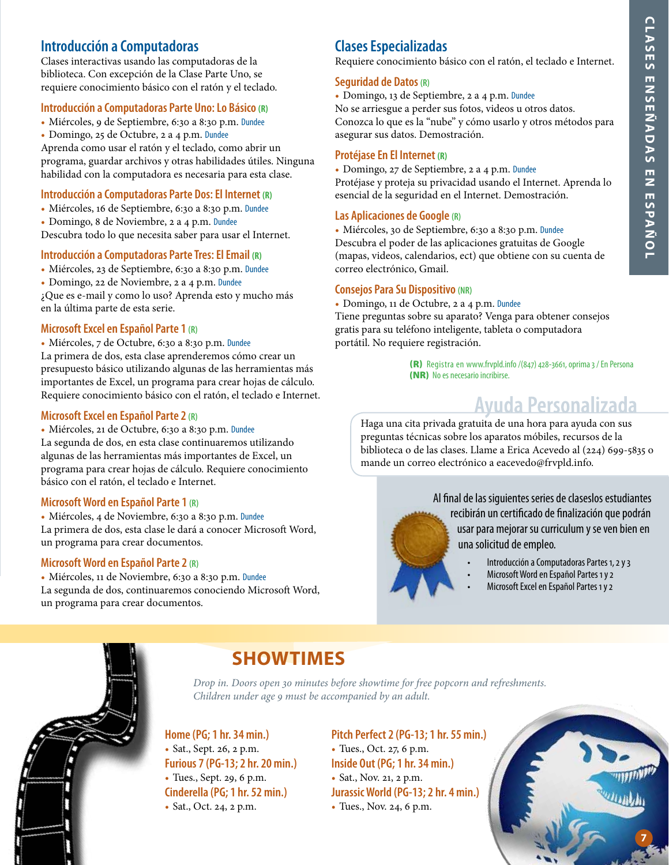## **Introducción a Computadoras**

Clases interactivas usando las computadoras de la biblioteca. Con excepción de la Clase Parte Uno, se requiere conocimiento básico con el ratón y el teclado.

#### **Introducción a Computadoras Parte Uno: Lo Básico (R)**

- Miércoles, 9 de Septiembre, 6:30 a 8:30 p.m. Dundee
- Domingo, 25 de Octubre, 2 a 4 p.m. Dundee

Aprenda como usar el ratón y el teclado, como abrir un programa, guardar archivos y otras habilidades útiles. Ninguna habilidad con la computadora es necesaria para esta clase.

#### **Introducción a Computadoras Parte Dos: El Internet (R)**

- Miércoles, 16 de Septiembre, 6:30 a 8:30 p.m. Dundee
- Domingo, 8 de Noviembre, 2 a 4 p.m. Dundee

Descubra todo lo que necesita saber para usar el Internet.

#### **Introducción a Computadoras Parte Tres: El Email (R)**

- Miércoles, 23 de Septiembre, 6:30 a 8:30 p.m. Dundee
- Domingo, 22 de Noviembre, 2 a 4 p.m. Dundee

¿Que es e-mail y como lo uso? Aprenda esto y mucho más en la última parte de esta serie.

#### **Microsoft Excel en Español Parte 1 (R)**

• Miércoles, 7 de Octubre, 6:30 a 8:30 p.m. Dundee

La primera de dos, esta clase aprenderemos cómo crear un presupuesto básico utilizando algunas de las herramientas más importantes de Excel, un programa para crear hojas de cálculo. Requiere conocimiento básico con el ratón, el teclado e Internet.

#### **Microsoft Excel en Español Parte 2 (R)**

#### • Miércoles, 21 de Octubre, 6:30 a 8:30 p.m. Dundee

La segunda de dos, en esta clase continuaremos utilizando algunas de las herramientas más importantes de Excel, un programa para crear hojas de cálculo. Requiere conocimiento básico con el ratón, el teclado e Internet.

#### **Microsoft Word en Español Parte 1 (R)**

• Miércoles, 4 de Noviembre, 6:30 a 8:30 p.m. Dundee La primera de dos, esta clase le dará a conocer Microsoft Word, un programa para crear documentos.

#### **Microsoft Word en Español Parte 2 (R)**

• Miércoles, 11 de Noviembre, 6:30 a 8:30 p.m. Dundee La segunda de dos, continuaremos conociendo Microsoft Word, un programa para crear documentos.

## **Clases Especializadas**

Requiere conocimiento básico con el ratón, el teclado e Internet.

#### **Seguridad de Datos (R)**

• Domingo, 13 de Septiembre, 2 a 4 p.m. Dundee No se arriesgue a perder sus fotos, videos u otros datos. Conozca lo que es la "nube" y cómo usarlo y otros métodos para asegurar sus datos. Demostración.

#### **Protéjase En El Internet (R)**

• Domingo, 27 de Septiembre, 2 a 4 p.m. Dundee Protéjase y proteja su privacidad usando el Internet. Aprenda lo esencial de la seguridad en el Internet. Demostración.

#### **Las Aplicaciones de Google (R)**

• Miércoles, 30 de Septiembre, 6:30 a 8:30 p.m. Dundee Descubra el poder de las aplicaciones gratuitas de Google (mapas, videos, calendarios, ect) que obtiene con su cuenta de correo electrónico, Gmail.

#### **Consejos Para Su Dispositivo (NR)**

• Domingo, 11 de Octubre, 2 a 4 p.m. Dundee Tiene preguntas sobre su aparato? Venga para obtener consejos gratis para su teléfono inteligente, tableta o computadora portátil. No requiere registración.

> (R) Registra en www.frvpld.info /(847) 428-3661, oprima 3 / En Persona (NR) No es necesario incribirse.

## **Ayuda Personalizada**

Haga una cita privada gratuita de una hora para ayuda con sus preguntas técnicas sobre los aparatos móbiles, recursos de la biblioteca o de las clases. Llame a Erica Acevedo al (224) 699-5835 o mande un correo electrónico a eacevedo@frvpld.info.

> Al final de las siguientes series de claseslos estudiantes recibirán un certificado de finalización que podrán usar para mejorar su curriculum y se ven bien en una solicitud de empleo.

- Introducción a Computadoras Partes 1, 2 y 3
- Microsoft Word en Español Partes 1 y 2
	- Microsoft Excel en Español Partes 1 y 2



## **SHOWTIMES**

*Drop in. Doors open 30 minutes before showtime for free popcorn and refreshments. Children under age 9 must be accompanied by an adult.*

**Home (PG; 1 hr. 34 min.)** • Sat., Sept. 26, 2 p.m. **Furious 7 (PG-13; 2 hr. 20 min.)** • Tues., Sept. 29, 6 p.m. **Cinderella (PG; 1 hr. 52 min.)** • Sat., Oct. 24, 2 p.m.

**Pitch Perfect 2 (PG-13; 1 hr. 55 min.)** • Tues., Oct. 27, 6 p.m. **Inside Out (PG; 1 hr. 34 min.)** • Sat., Nov. 21, 2 p.m. **Jurassic World (PG-13; 2 hr. 4 min.)** • Tues., Nov. 24, 6 p.m.